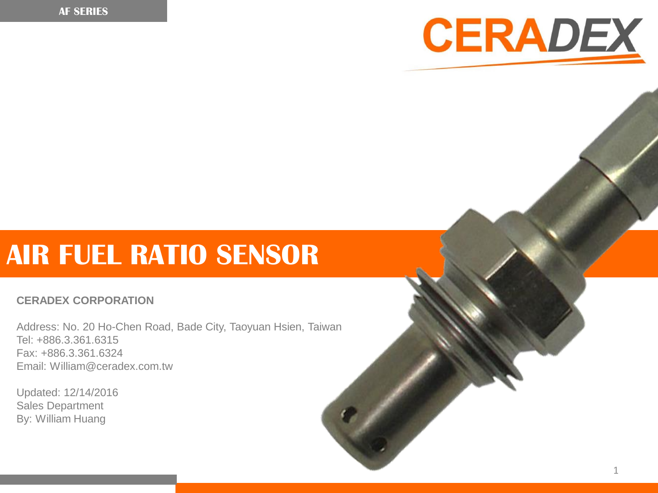

# **AIR FUEL RATIO SENSOR**

#### **CERADEX CORPORATION**

Address: No. 20 Ho-Chen Road, Bade City, Taoyuan Hsien, Taiwan Tel: +886.3.361.6315 Fax: +886.3.361.6324 Email: William@ceradex.com.tw

Updated: 12/14/2016 Sales Department By: William Huang

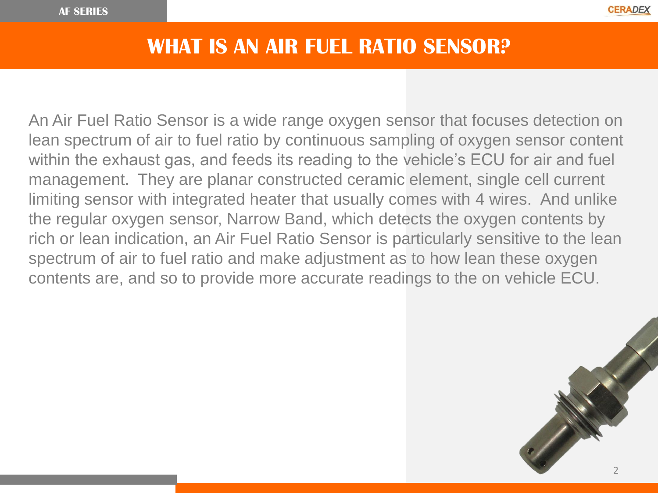#### **WHAT IS AN AIR FUEL RATIO SENSOR?**

An Air Fuel Ratio Sensor is a wide range oxygen sensor that focuses detection on lean spectrum of air to fuel ratio by continuous sampling of oxygen sensor content within the exhaust gas, and feeds its reading to the vehicle's ECU for air and fuel management. They are planar constructed ceramic element, single cell current limiting sensor with integrated heater that usually comes with 4 wires. And unlike the regular oxygen sensor, Narrow Band, which detects the oxygen contents by rich or lean indication, an Air Fuel Ratio Sensor is particularly sensitive to the lean spectrum of air to fuel ratio and make adjustment as to how lean these oxygen contents are, and so to provide more accurate readings to the on vehicle ECU.

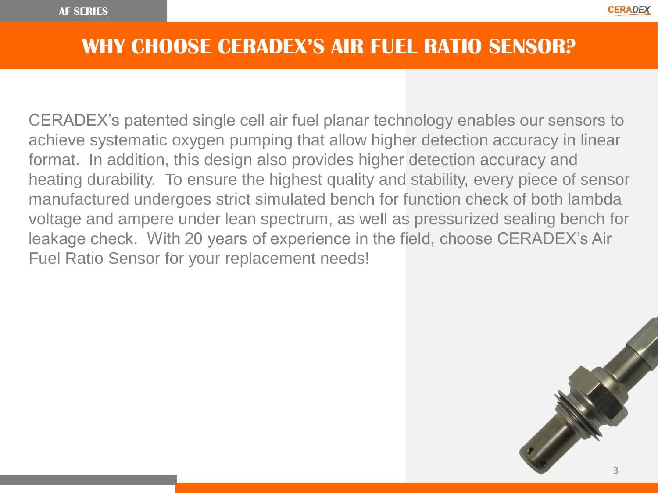#### **WHY CHOOSE CERADEX'S AIR FUEL RATIO SENSOR?**

CERADEX's patented single cell air fuel planar technology enables our sensors to achieve systematic oxygen pumping that allow higher detection accuracy in linear format. In addition, this design also provides higher detection accuracy and heating durability. To ensure the highest quality and stability, every piece of sensor manufactured undergoes strict simulated bench for function check of both lambda voltage and ampere under lean spectrum, as well as pressurized sealing bench for leakage check. With 20 years of experience in the field, choose CERADEX's Air Fuel Ratio Sensor for your replacement needs!

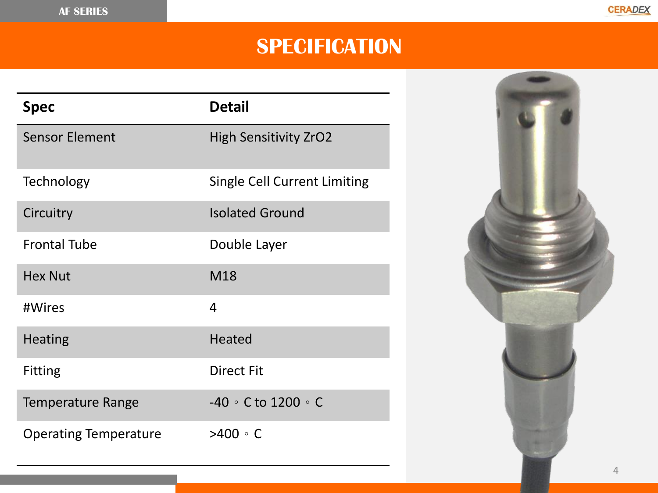## **SPECIFICATION**

| <b>Spec</b>                  | <b>Detail</b>                       |
|------------------------------|-------------------------------------|
| <b>Sensor Element</b>        | <b>High Sensitivity ZrO2</b>        |
| Technology                   | <b>Single Cell Current Limiting</b> |
| Circuitry                    | <b>Isolated Ground</b>              |
| <b>Frontal Tube</b>          | Double Layer                        |
| <b>Hex Nut</b>               | M18                                 |
| #Wires                       | $\overline{4}$                      |
| <b>Heating</b>               | <b>Heated</b>                       |
| <b>Fitting</b>               | <b>Direct Fit</b>                   |
| <b>Temperature Range</b>     | -40 $\circ$ C to 1200 $\circ$ C     |
| <b>Operating Temperature</b> | $>400 \circ C$                      |

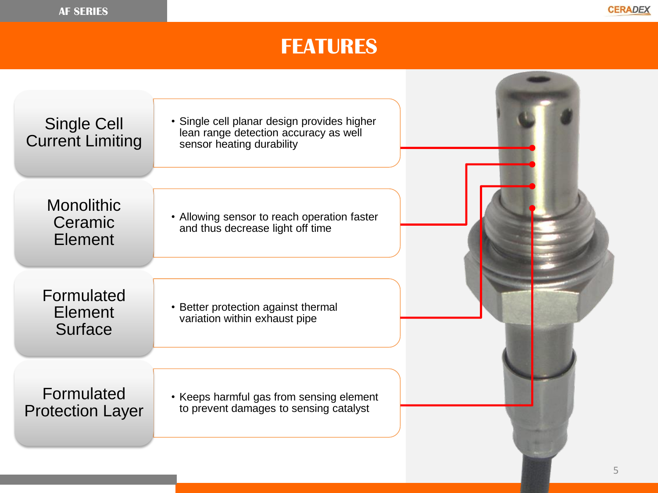## **FEATURES**

| <b>Single Cell</b><br><b>Current Limiting</b>  | • Single cell planar design provides higher<br>lean range detection accuracy as well<br>sensor heating durability |   |
|------------------------------------------------|-------------------------------------------------------------------------------------------------------------------|---|
| <b>Monolithic</b><br>Ceramic<br><b>Element</b> | • Allowing sensor to reach operation faster<br>and thus decrease light off time                                   |   |
| Formulated<br><b>Element</b><br>Surface        | • Better protection against thermal<br>variation within exhaust pipe                                              |   |
| Formulated<br><b>Protection Layer</b>          | • Keeps harmful gas from sensing element<br>to prevent damages to sensing catalyst                                | 5 |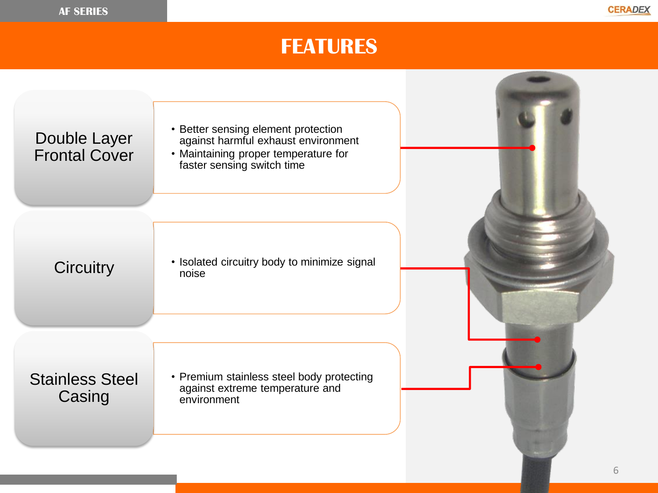### **FEATURES**

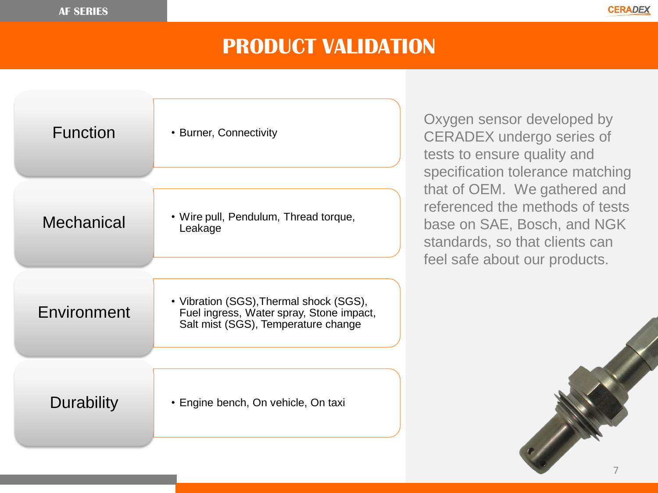### **PRODUCT VALIDATION**

| <b>Function</b> | • Burner, Connectivity                                                                                                     |
|-----------------|----------------------------------------------------------------------------------------------------------------------------|
|                 |                                                                                                                            |
| Mechanical      | • Wire pull, Pendulum, Thread torque,<br>Leakage                                                                           |
|                 |                                                                                                                            |
| Environment     | • Vibration (SGS), Thermal shock (SGS),<br>Fuel ingress, Water spray, Stone impact,<br>Salt mist (SGS), Temperature change |
|                 |                                                                                                                            |
| Durability      | • Engine bench, On vehicle, On taxi                                                                                        |

Oxygen sensor developed by CERADEX undergo series of tests to ensure quality and specification tolerance matching that of OEM. We gathered and referenced the methods of tests base on SAE, Bosch, and NGK standards, so that clients can feel safe about our products.

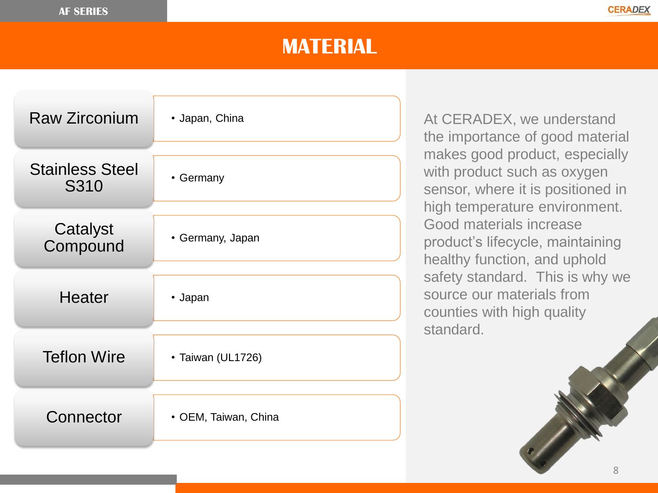#### **MATERIAL**

| <b>Raw Zirconium</b>           | • Japan, China       |
|--------------------------------|----------------------|
| <b>Stainless Steel</b><br>S310 | • Germany            |
| Catalyst<br>Compound           | • Germany, Japan     |
| <b>Heater</b>                  | • Japan              |
| <b>Teflon Wire</b>             | • Taiwan (UL1726)    |
| Connector                      | • OEM, Taiwan, China |

At CERADEX, we understand the importance of good material makes good product, especially with product such as oxygen sensor, where it is positioned in high temperature environment. Good materials increase product's lifecycle, maintaining healthy function, and uphold safety standard. This is why we source our materials from counties with high quality standard.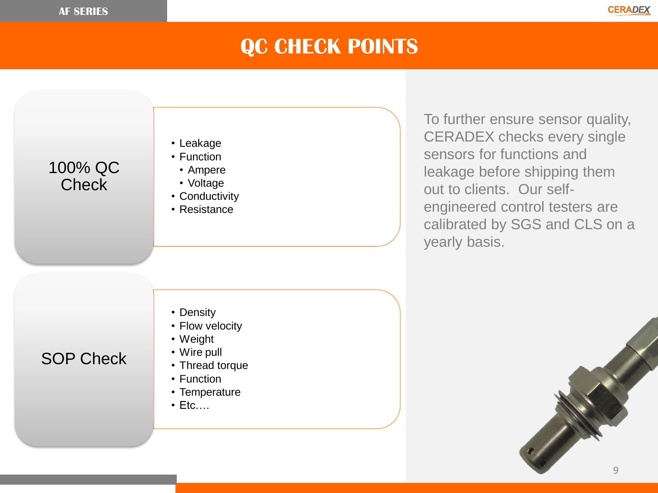

### **QC CHECK POINTS**